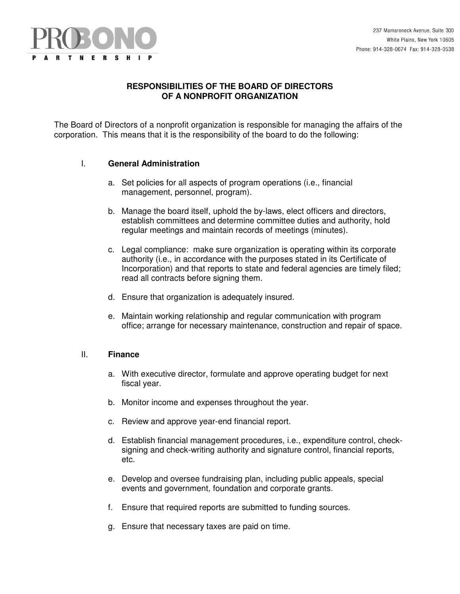

# **RESPONSIBILITIES OF THE BOARD OF DIRECTORS OF A NONPROFIT ORGANIZATION**

The Board of Directors of a nonprofit organization is responsible for managing the affairs of the corporation. This means that it is the responsibility of the board to do the following:

# I. **General Administration**

- a. Set policies for all aspects of program operations (i.e., financial management, personnel, program).
- b. Manage the board itself, uphold the by-laws, elect officers and directors, establish committees and determine committee duties and authority, hold regular meetings and maintain records of meetings (minutes).
- c. Legal compliance: make sure organization is operating within its corporate authority (i.e., in accordance with the purposes stated in its Certificate of Incorporation) and that reports to state and federal agencies are timely filed; read all contracts before signing them.
- d. Ensure that organization is adequately insured.
- e. Maintain working relationship and regular communication with program office; arrange for necessary maintenance, construction and repair of space.

#### II. **Finance**

- a. With executive director, formulate and approve operating budget for next fiscal year.
- b. Monitor income and expenses throughout the year.
- c. Review and approve year-end financial report.
- d. Establish financial management procedures, i.e., expenditure control, checksigning and check-writing authority and signature control, financial reports, etc.
- e. Develop and oversee fundraising plan, including public appeals, special events and government, foundation and corporate grants.
- f. Ensure that required reports are submitted to funding sources.
- g. Ensure that necessary taxes are paid on time.